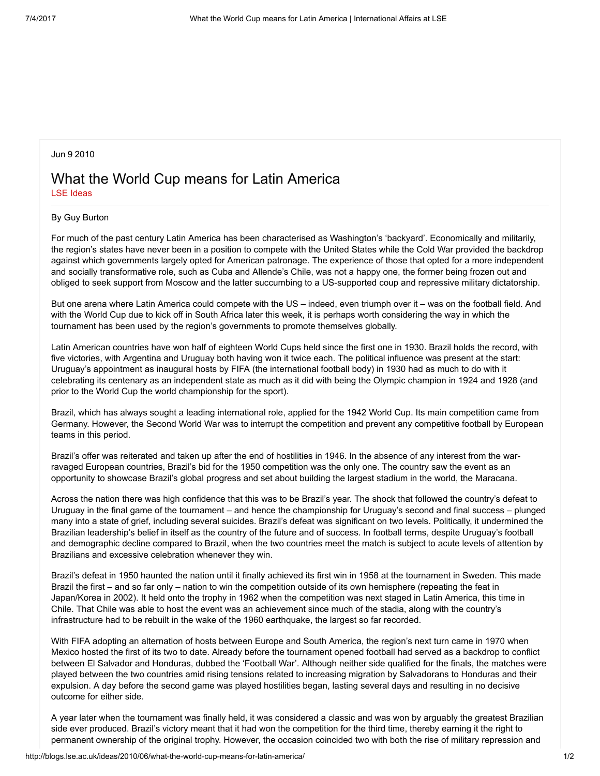## Jun 9 2010

## What the World Cup means for Latin America LSE [Ideas](http://blogs.lse.ac.uk/ideas/author/kilari/)

## By Guy Burton

For much of the past century Latin America has been characterised as Washington's 'backyard'. Economically and militarily, the region's states have never been in a position to compete with the United States while the Cold War provided the backdrop against which governments largely opted for American patronage. The experience of those that opted for a more independent and socially transformative role, such as Cuba and Allende's Chile, was not a happy one, the former being frozen out and obliged to seek support from Moscow and the latter succumbing to a US-supported coup and repressive military dictatorship.

But one arena where Latin America could compete with the US – indeed, even triumph over it – was on the football field. And with the World Cup due to kick off in South Africa later this week, it is perhaps worth considering the way in which the tournament has been used by the region's governments to promote themselves globally.

Latin American countries have won half of eighteen World Cups held since the first one in 1930. Brazil holds the record, with five victories, with Argentina and Uruguay both having won it twice each. The political influence was present at the start: Uruguay's appointment as inaugural hosts by FIFA (the international football body) in 1930 had as much to do with it celebrating its centenary as an independent state as much as it did with being the Olympic champion in 1924 and 1928 (and prior to the World Cup the world championship for the sport).

Brazil, which has always sought a leading international role, applied for the 1942 World Cup. Its main competition came from Germany. However, the Second World War was to interrupt the competition and prevent any competitive football by European teams in this period.

Brazil's offer was reiterated and taken up after the end of hostilities in 1946. In the absence of any interest from the warravaged European countries, Brazil's bid for the 1950 competition was the only one. The country saw the event as an opportunity to showcase Brazil's global progress and set about building the largest stadium in the world, the Maracana.

Across the nation there was high confidence that this was to be Brazil's year. The shock that followed the country's defeat to Uruguay in the final game of the tournament – and hence the championship for Uruguay's second and final success – plunged many into a state of grief, including several suicides. Brazil's defeat was significant on two levels. Politically, it undermined the Brazilian leadership's belief in itself as the country of the future and of success. In football terms, despite Uruguay's football and demographic decline compared to Brazil, when the two countries meet the match is subject to acute levels of attention by Brazilians and excessive celebration whenever they win.

Brazil's defeat in 1950 haunted the nation until it finally achieved its first win in 1958 at the tournament in Sweden. This made Brazil the first – and so far only – nation to win the competition outside of its own hemisphere (repeating the feat in Japan/Korea in 2002). It held onto the trophy in 1962 when the competition was next staged in Latin America, this time in Chile. That Chile was able to host the event was an achievement since much of the stadia, along with the country's infrastructure had to be rebuilt in the wake of the 1960 earthquake, the largest so far recorded.

With FIFA adopting an alternation of hosts between Europe and South America, the region's next turn came in 1970 when Mexico hosted the first of its two to date. Already before the tournament opened football had served as a backdrop to conflict between El Salvador and Honduras, dubbed the 'Football War'. Although neither side qualified for the finals, the matches were played between the two countries amid rising tensions related to increasing migration by Salvadorans to Honduras and their expulsion. A day before the second game was played hostilities began, lasting several days and resulting in no decisive outcome for either side.

A year later when the tournament was finally held, it was considered a classic and was won by arguably the greatest Brazilian side ever produced. Brazil's victory meant that it had won the competition for the third time, thereby earning it the right to permanent ownership of the original trophy. However, the occasion coincided two with both the rise of military repression and